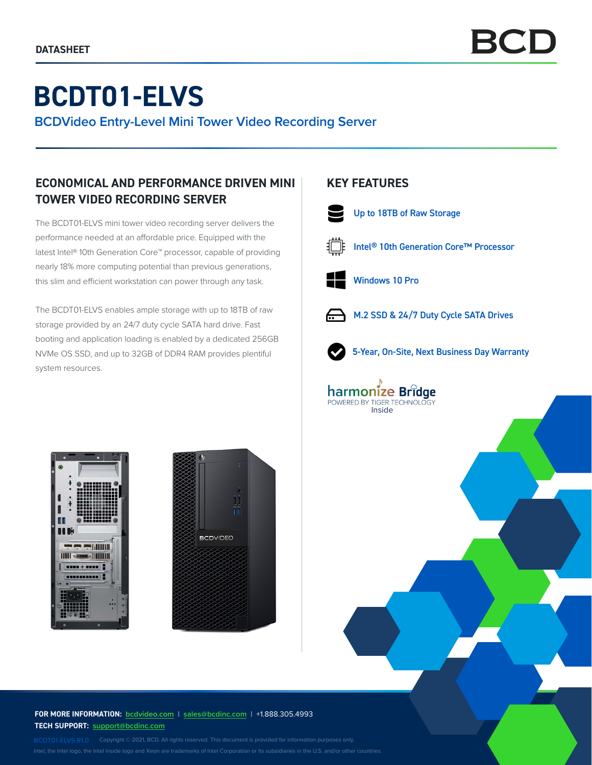# **BCDT01-ELVS**

**BCDVideo Entry-Level Mini Tower Video Recording Server**

## **ECONOMICAL AND PERFORMANCE DRIVEN MINI TOWER VIDEO RECORDING SERVER**

The BCDT01-ELVS mini tower video recording server delivers the performance needed at an affordable price. Equipped with the latest Intel® 10th Generation Core™ processor, capable of providing nearly 18% more computing potential than previous generations, this slim and efficient workstation can power through any task.

The BCDT01-ELVS enables ample storage with up to 18TB of raw storage provided by an 24/7 duty cycle SATA hard drive. Fast booting and application loading is enabled by a dedicated 256GB NVMe OS SSD, and up to 32GB of DDR4 RAM provides plentiful system resources.

### **KEY FEATURES**





Intel® 10th Generation Core™ Processor



Windows 10 Pro

Inside

harmonize Bridge POWERED BY TIGER TECHNOLOG



M.2 SSD & 24/7 Duty Cycle SATA Drives



5-Year, On-Site, Next Business Day Warranty





**FOR MORE INFORMATION: bcdvideo.com** | **[sales@bcdinc.com](mailto:sales%40bcdinc.com?subject=)** | +1.888.305.4993 **TECH SUPPORT: [support@bcdinc.com](mailto:support%40bcdinc.com?subject=)**

Intel, the Intel logo, the Intel Inside logo and Xeon are trademarks of Intel Corporation or its subsidiaries in the U.S. and/or other countries.